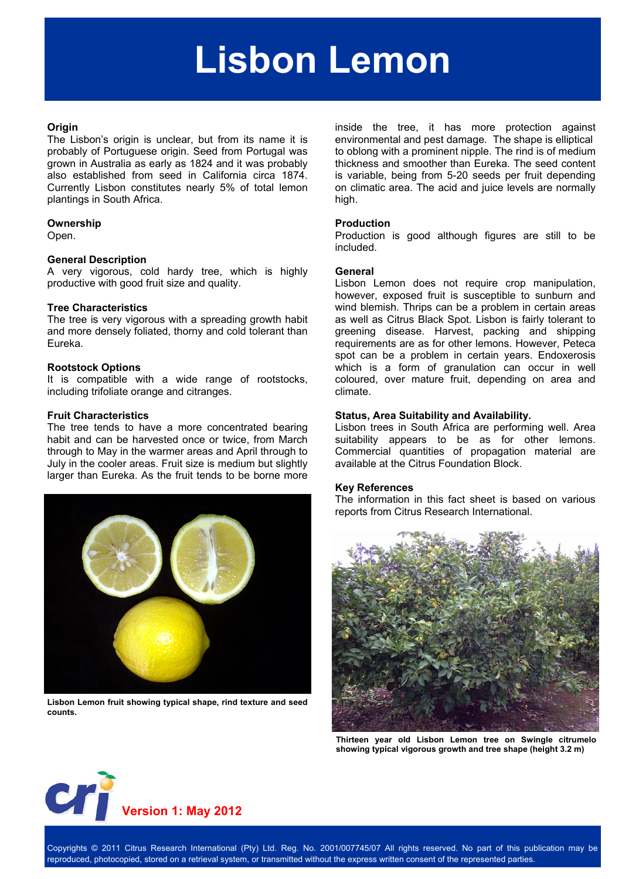# **Lisbon Lemon**

#### **Origin**

The Lisbon's origin is unclear, but from its name it is probably of Portuguese origin. Seed from Portugal was grown in Australia as early as 1824 and it was probably also established from seed in California circa 1874. Currently Lisbon constitutes nearly 5% of total lemon plantings in South Africa.

#### **Ownership**

Open.

#### **General Description**

A very vigorous, cold hardy tree, which is highly productive with good fruit size and quality.

#### **Tree Characteristics**

The tree is very vigorous with a spreading growth habit and more densely foliated, thorny and cold tolerant than Eureka.

#### **Rootstock Options**

It is compatible with a wide range of rootstocks, including trifoliate orange and citranges.

#### **Fruit Characteristics**

The tree tends to have a more concentrated bearing habit and can be harvested once or twice, from March through to May in the warmer areas and April through to July in the cooler areas. Fruit size is medium but slightly larger than Eureka. As the fruit tends to be borne more



**Lisbon Lemon fruit showing typical shape, rind texture and seed counts.** 

inside the tree, it has more protection against environmental and pest damage. The shape is elliptical to oblong with a prominent nipple. The rind is of medium thickness and smoother than Eureka. The seed content is variable, being from 5-20 seeds per fruit depending on climatic area. The acid and juice levels are normally high.

# **Production**

Production is good although figures are still to be included.

#### **General**

Lisbon Lemon does not require crop manipulation, however, exposed fruit is susceptible to sunburn and wind blemish. Thrips can be a problem in certain areas as well as Citrus Black Spot. Lisbon is fairly tolerant to greening disease. Harvest, packing and shipping requirements are as for other lemons. However, Peteca spot can be a problem in certain years. Endoxerosis which is a form of granulation can occur in well coloured, over mature fruit, depending on area and climate.

#### **Status, Area Suitability and Availability.**

Lisbon trees in South Africa are performing well. Area suitability appears to be as for other lemons. Commercial quantities of propagation material are available at the Citrus Foundation Block.

#### **Key References**

The information in this fact sheet is based on various reports from Citrus Research International.



**Thirteen year old Lisbon Lemon tree on Swingle citrumelo showing typical vigorous growth and tree shape (height 3.2 m)** 



Copyrights © 2011 Citrus Research International (Pty) Ltd. Reg. No. 2001/007745/07 All rights reserved. No part of this publication may be reproduced, photocopied, stored on a retrieval system, or transmitted without the express written consent of the represented parties.